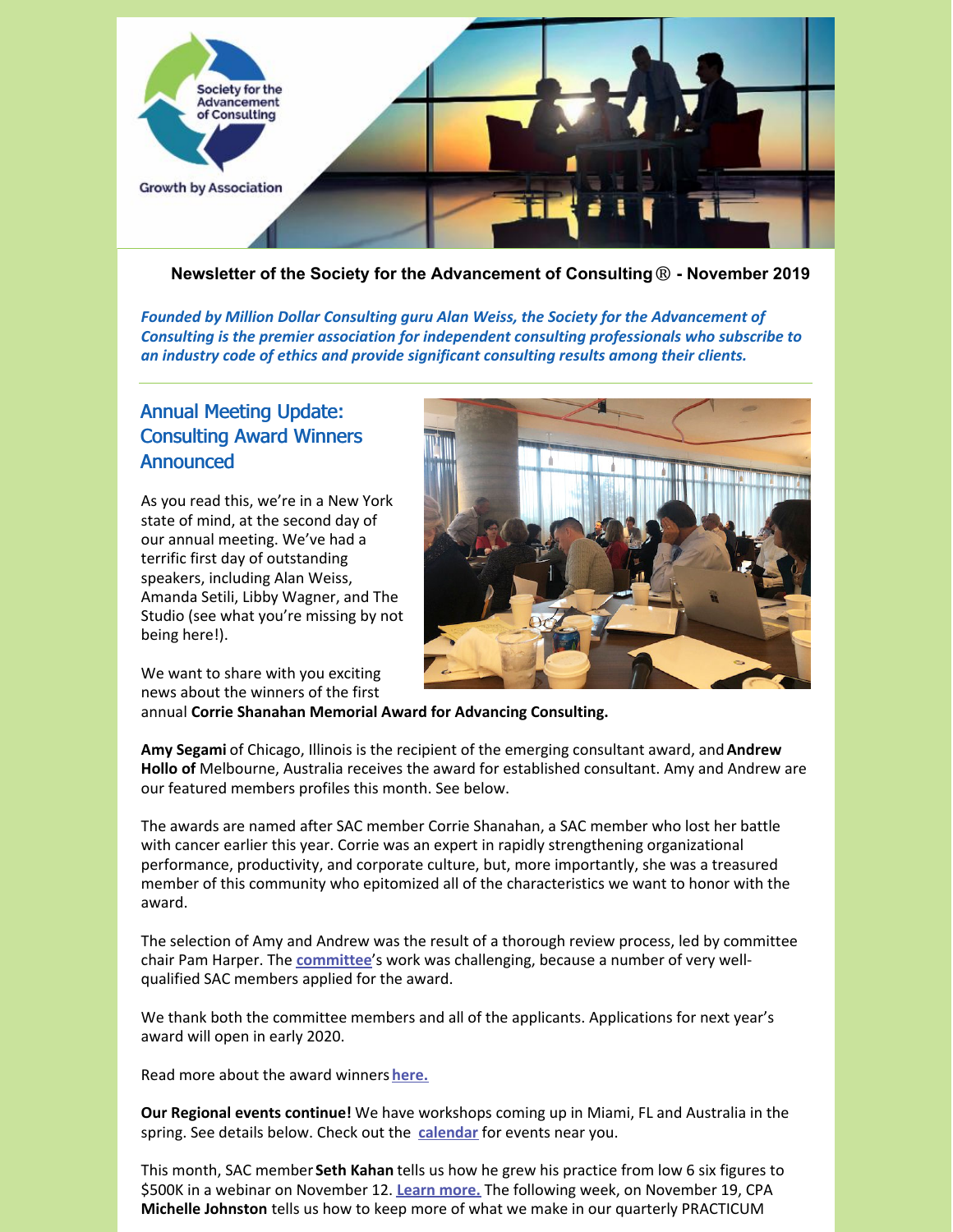

**Newsletter of the Society for the Advancement of Consulting**® **- November 2019**

*Founded by Million Dollar Consulting guru Alan Weiss, the Society for the Advancement of Consulting is the premier association for independent consulting professionals who subscribe to an industry code of ethics and provide significant consulting results among their clients.*

# Annual Meeting Update: Consulting Award Winners **Announced**

As you read this, we're in a New York state of mind, at the second day of our annual meeting. We've had a terrific first day of outstanding speakers, including Alan Weiss, Amanda Setili, Libby Wagner, and The Studio (see what you're missing by not being here!).



We want to share with you exciting news about the winners of the first

annual **Corrie Shanahan Memorial Award for Advancing Consulting.**

**Amy Segami** of Chicago, Illinois is the recipient of the emerging consultant award, and**Andrew Hollo of** Melbourne, Australia receives the award for established consultant. Amy and Andrew are our featured members profiles this month. See below.

The awards are named after SAC member Corrie Shanahan, a SAC member who lost her battle with cancer earlier this year. Corrie was an expert in rapidly strengthening organizational performance, productivity, and corporate culture, but, more importantly, she was a treasured member of this community who epitomized all of the characteristics we want to honor with the award.

The selection of Amy and Andrew was the result of a thorough review process, led by committee chair Pam Harper. The **[committee](https://consultingsociety.com/programs-events/advancing-consulting-award/meet-the-award-committee/)**'s work was challenging, because a number of very wellqualified SAC members applied for the award.

We thank both the committee members and all of the applicants. Applications for next year's award will open in early 2020.

Read more about the award winners **[here.](https://consultingsociety.com/resources/press-releases/news_release-11-6-19/)**

**Our Regional events continue!** We have workshops coming up in Miami, FL and Australia in the spring. See details below. Check out the **[calendar](https://consultingsociety.com/events/)** for events near you.

This month, SAC member **Seth Kahan** tells us how he grew his practice from low 6 six figures to \$500K in a webinar on November 12. **Learn [more.](https://consultingsociety.com/programs-events/best-practices-webinars#kahan-1119)** The following week, on November 19, CPA **Michelle Johnston** tells us how to keep more of what we make in our quarterly PRACTICUM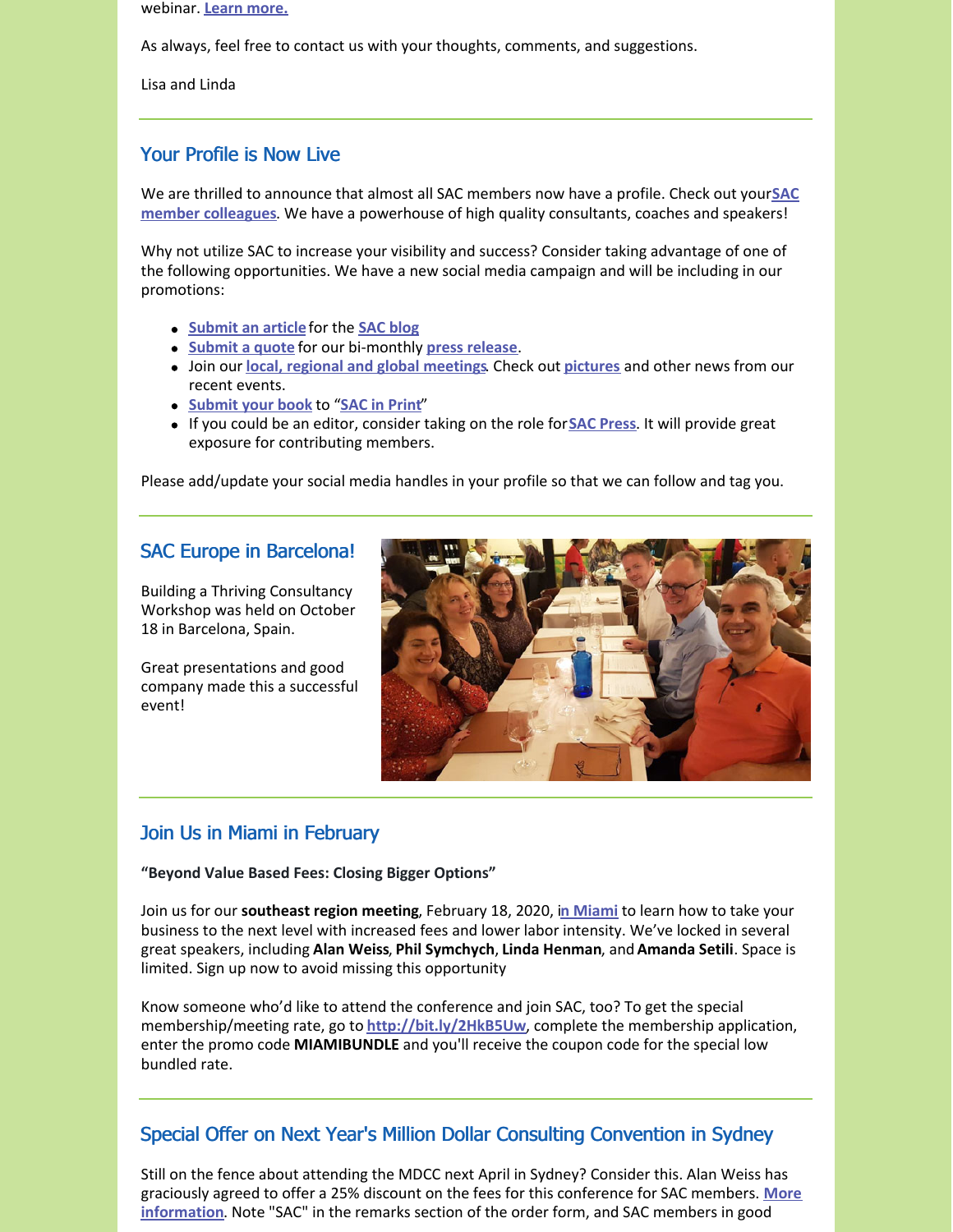webinar. **Learn [more.](https://consultingsociety.com/programs-events/practicum-webinars#johnston-1119)**

As always, feel free to contact us with your thoughts, comments, and suggestions.

Lisa and Linda

# Your Profile is Now Live

We are thrilled to announce that almost all SAC members now have a profile. Check out your**SAC member colleagues**. We have a [powerhouse](https://consultingsociety.com/members-menu/members/) of high quality consultants, coaches and speakers!

Why not utilize SAC to increase your visibility and success? Consider taking advantage of one of the following opportunities. We have a new social media campaign and will be including in our promotions:

- **[Submit](https://consultingsociety.com/user/landerson/?profiletab=articles&subnav=posts-articles) an article** for the **SAC [blog](https://consultingsociety.com/category/member-articles/)**
- **[Submit](https://consultingsociety.com/member-resources/press-release-contribution/) a quote** for our bi-monthly **press [release](https://consultingsociety.com/resources/press-releases/)**.
- Join our **local, regional and global [meetings](https://consultingsociety.com/programs-events/regional-meetings/)**. Check out **[pictures](https://consultingsociety.com/resources/in-the-news/)** and other news from our recent events.
- **[Submit](https://consultingsociety.com/member-resources/sac-in-print/) your book** to "**SAC in [Print](https://consultingsociety.com/resources/books-by-our-members/)**"
- If you could be an editor, consider taking on the role for**SAC [Press](https://consultingsociety.com/resources/sac-press/)**. It will provide great exposure for contributing members.

Please add/update your social media handles in your profile so that we can follow and tag you.

## SAC Europe in Barcelona!

Building a Thriving Consultancy Workshop was held on October 18 in Barcelona, Spain.

Great presentations and good company made this a successful event!



# Join Us in Miami in February

#### **"Beyond Value Based Fees: Closing Bigger Options"**

Join us for our **southeast region meeting**, February 18, 2020, i**n [Miami](https://consultingsociety.com/february-18-2020-miami-regional-event/)** to learn how to take your business to the next level with increased fees and lower labor intensity. We've locked in several great speakers, including **Alan Weiss**, **Phil Symchych**, **Linda Henman**, and**Amanda Setili**. Space is limited. Sign up now to avoid missing this opportunity

Know someone who'd like to attend the conference and join SAC, too? To get the special membership/meeting rate, go to **<http://bit.ly/2HkB5Uw>**, complete the membership application, enter the promo code **MIAMIBUNDLE** and you'll receive the coupon code for the special low bundled rate.

# Special Offer on Next Year's Million Dollar Consulting Convention in Sydney

Still on the fence about attending the MDCC next April in Sydney? Consider this. Alan Weiss has graciously agreed to offer a 25% discount on the fees for this [conference](https://alanweiss.com/growth-experiences/mdcc/) for SAC members. **More information**. Note "SAC" in the remarks section of the order form, and SAC members in good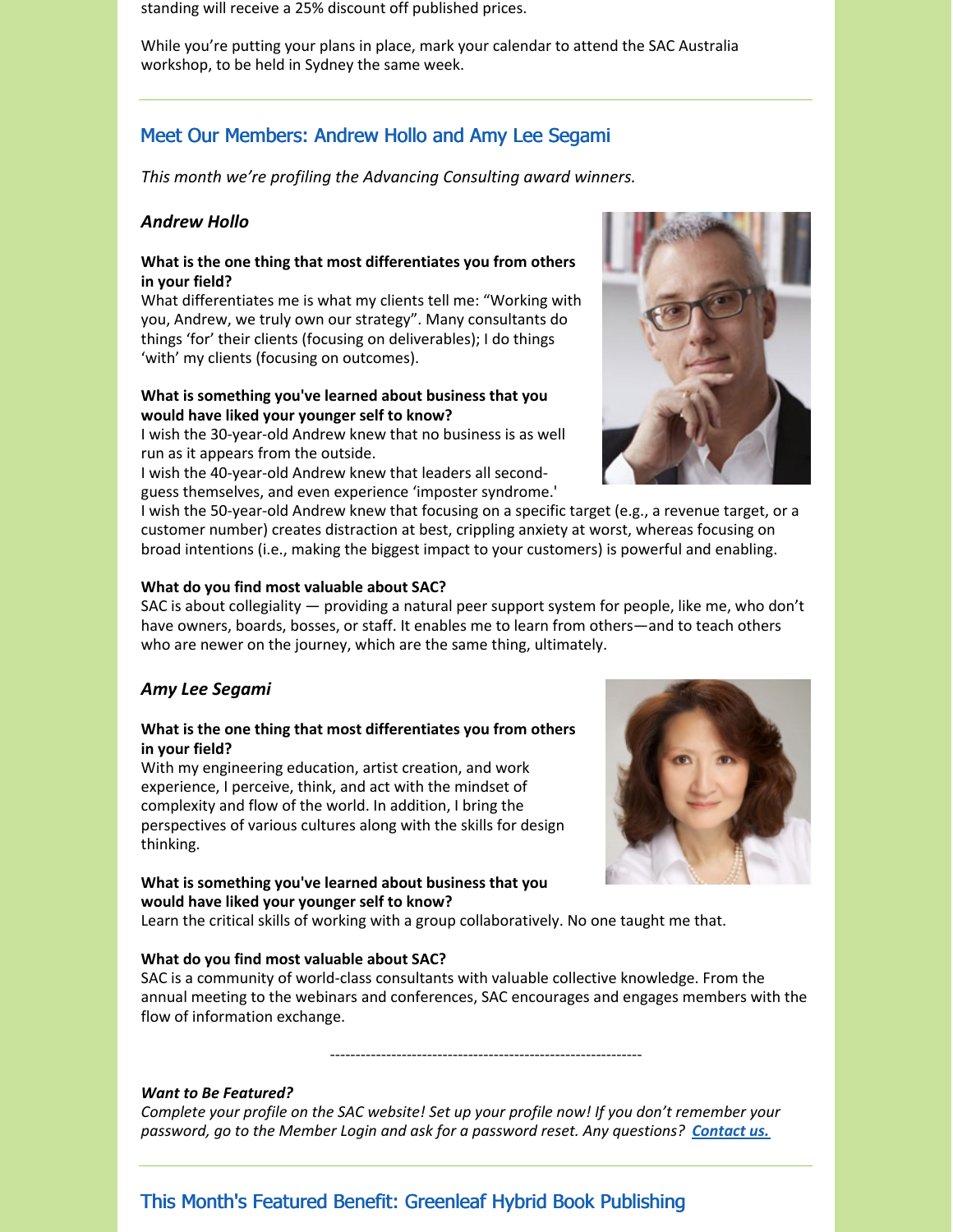standing will receive a 25% discount off published prices.

While you're putting your plans in place, mark your calendar to attend the SAC Australia workshop, to be held in Sydney the same week.

# Meet Our Members: Andrew Hollo and Amy Lee Segami

*This month we're profiling the Advancing Consulting award winners.*

## *Andrew Hollo*

### **What is the one thing that most differentiates you from others in your field?**

What differentiates me is what my clients tell me: "Working with you, Andrew, we truly own our strategy". Many consultants do things 'for' their clients (focusing on deliverables); I do things 'with' my clients (focusing on outcomes).

## **What is something you've learned about business that you would have liked your younger self to know?**

I wish the 30-year-old Andrew knew that no business is as well run as it appears from the outside.

I wish the 40-year-old Andrew knew that leaders all secondguess themselves, and even experience 'imposter syndrome.'



I wish the 50-year-old Andrew knew that focusing on a specific target (e.g., a revenue target, or a customer number) creates distraction at best, crippling anxiety at worst, whereas focusing on broad intentions (i.e., making the biggest impact to your customers) is powerful and enabling.

#### **What do you find most valuable about SAC?**

SAC is about collegiality — providing a natural peer support system for people, like me, who don't have owners, boards, bosses, or staff. It enables me to learn from others—and to teach others who are newer on the journey, which are the same thing, ultimately.

### *Amy Lee Segami*

### **What is the one thing that most differentiates you from others in your field?**

With my engineering education, artist creation, and work experience, I perceive, think, and act with the mindset of complexity and flow of the world. In addition, I bring the perspectives of various cultures along with the skills for design thinking.

## **What is something you've learned about business that you would have liked your younger self to know?**

Learn the critical skills of working with a group collaboratively. No one taught me that.

#### **What do you find most valuable about SAC?**



SAC is a community of world-class consultants with valuable collective knowledge. From the annual meeting to the webinars and conferences, SAC encourages and engages members with the flow of information exchange.

-------------------------------------------------------------

#### *Want to Be Featured?*

*Complete your profile on the SAC website! Set up your profile now! If you don't remember your password, go to the Member Login and ask for a password reset. Any questions? [Contact](mailto:info@consultingsociety.com) us.*

This Month's Featured Benefit: Greenleaf Hybrid Book Publishing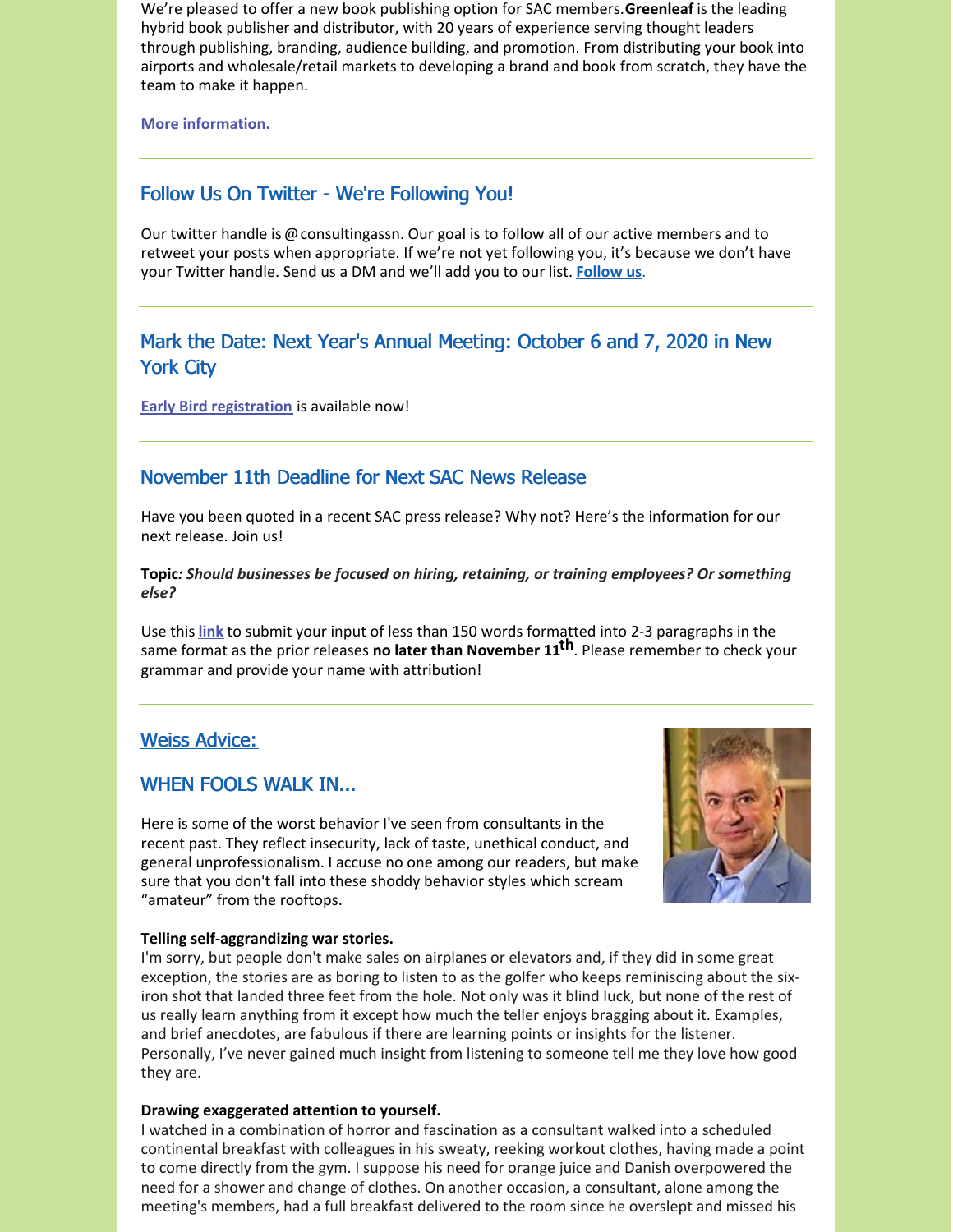We're pleased to offer a new book publishing option for SAC members.**Greenleaf** is the leading hybrid book publisher and distributor, with 20 years of experience serving thought leaders through publishing, branding, audience building, and promotion. From distributing your book into airports and wholesale/retail markets to developing a brand and book from scratch, they have the team to make it happen.

**More [information.](https://consultingsociety.com/membership/member-discounts/)**

# Follow Us On Twitter - We're Following You!

Our twitter handle is @consultingassn. Our goal is to follow all of our active members and to retweet your posts when appropriate. If we're not yet following you, it's because we don't have your Twitter handle. Send us a DM and we'll add you to our list. **[Follow](https://twitter.com/ConsultingAssn) us**.

# Mark the Date: Next Year's Annual Meeting: October 6 and 7, 2020 in New York City

**Early Bird [registration](https://consultingsociety.com/2020-sac-annual-meeting-new-york-city-october-6-7-2020/)** is available now!

# November 11th Deadline for Next SAC News Release

Have you been quoted in a recent SAC press release? Why not? Here's the information for our next release. Join us!

## **Topic***: Should businesses be focused on hiring, retaining, or training employees? Or something else?*

Use this **[link](https://consultingsociety.com/press-release-contribution/)** to submit your input of less than 150 words formatted into 2-3 paragraphs in the same format as the prior releases **no later than November 11 th**. Please remember to check your grammar and provide your name with attribution!

# Weiss Advice:

# WHEN FOOLS WALK IN...

Here is some of the worst behavior I've seen from consultants in the recent past. They reflect insecurity, lack of taste, unethical conduct, and general unprofessionalism. I accuse no one among our readers, but make sure that you don't fall into these shoddy behavior styles which scream "amateur" from the rooftops.



## **Telling self-aggrandizing war stories.**

I'm sorry, but people don't make sales on airplanes or elevators and, if they did in some great exception, the stories are as boring to listen to as the golfer who keeps reminiscing about the sixiron shot that landed three feet from the hole. Not only was it blind luck, but none of the rest of us really learn anything from it except how much the teller enjoys bragging about it. Examples, and brief anecdotes, are fabulous if there are learning points or insights for the listener. Personally, I've never gained much insight from listening to someone tell me they love how good they are.

### **Drawing exaggerated attention to yourself.**

I watched in a combination of horror and fascination as a consultant walked into a scheduled continental breakfast with colleagues in his sweaty, reeking workout clothes, having made a point to come directly from the gym. I suppose his need for orange juice and Danish overpowered the need for a shower and change of clothes. On another occasion, a consultant, alone among the meeting's members, had a full breakfast delivered to the room since he overslept and missed his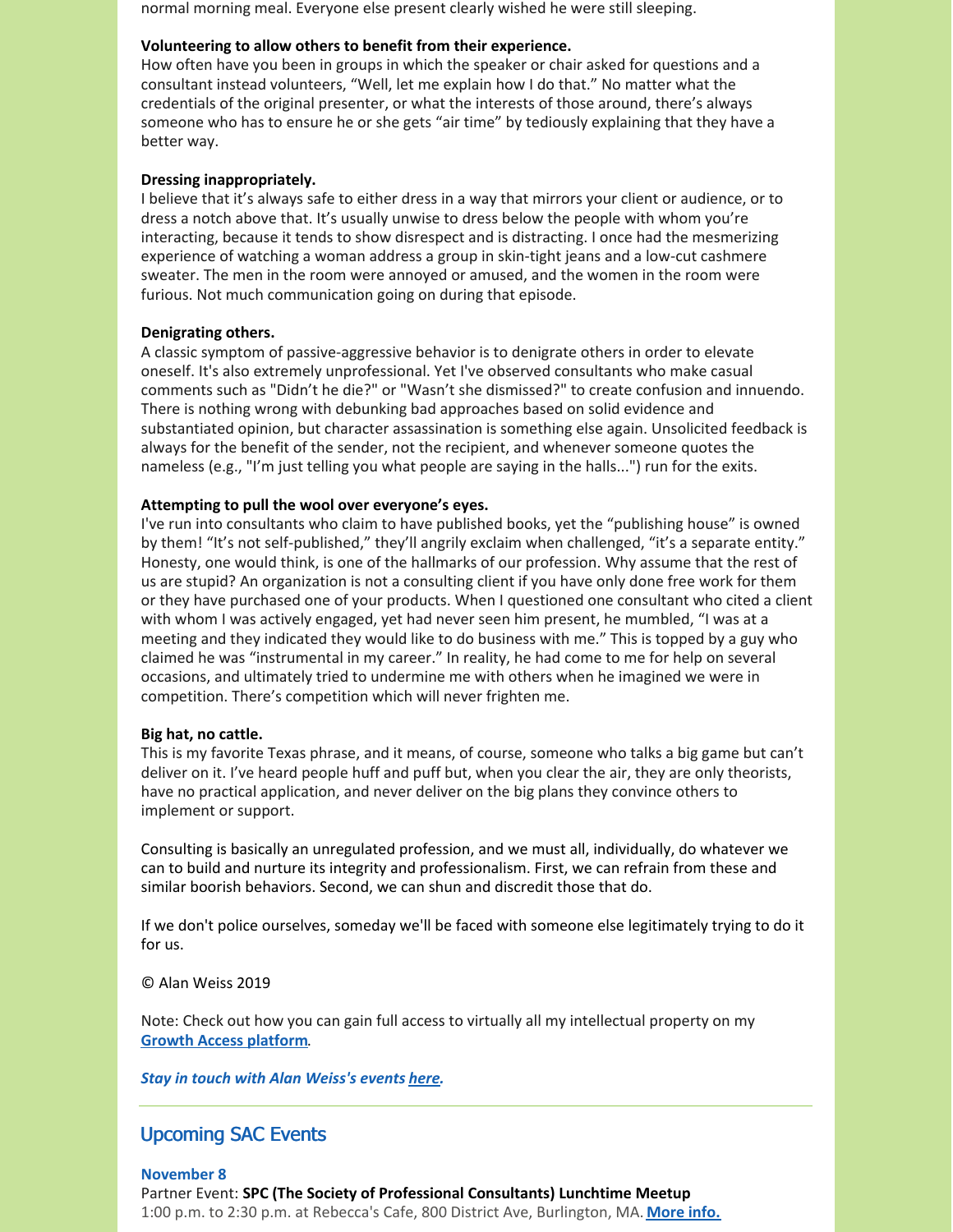normal morning meal. Everyone else present clearly wished he were still sleeping.

### **Volunteering to allow others to benefit from their experience.**

How often have you been in groups in which the speaker or chair asked for questions and a consultant instead volunteers, "Well, let me explain how I do that." No matter what the credentials of the original presenter, or what the interests of those around, there's always someone who has to ensure he or she gets "air time" by tediously explaining that they have a better way.

### **Dressing inappropriately.**

I believe that it's always safe to either dress in a way that mirrors your client or audience, or to dress a notch above that. It's usually unwise to dress below the people with whom you're interacting, because it tends to show disrespect and is distracting. I once had the mesmerizing experience of watching a woman address a group in skin-tight jeans and a low-cut cashmere sweater. The men in the room were annoyed or amused, and the women in the room were furious. Not much communication going on during that episode.

### **Denigrating others.**

A classic symptom of passive-aggressive behavior is to denigrate others in order to elevate oneself. It's also extremely unprofessional. Yet I've observed consultants who make casual comments such as "Didn't he die?" or "Wasn't she dismissed?" to create confusion and innuendo. There is nothing wrong with debunking bad approaches based on solid evidence and substantiated opinion, but character assassination is something else again. Unsolicited feedback is always for the benefit of the sender, not the recipient, and whenever someone quotes the nameless (e.g., "I'm just telling you what people are saying in the halls...") run for the exits.

### **Attempting to pull the wool over everyone's eyes.**

I've run into consultants who claim to have published books, yet the "publishing house" is owned by them! "It's not self-published," they'll angrily exclaim when challenged, "it's a separate entity." Honesty, one would think, is one of the hallmarks of our profession. Why assume that the rest of us are stupid? An organization is not a consulting client if you have only done free work for them or they have purchased one of your products. When I questioned one consultant who cited a client with whom I was actively engaged, yet had never seen him present, he mumbled, "I was at a meeting and they indicated they would like to do business with me." This is topped by a guy who claimed he was "instrumental in my career." In reality, he had come to me for help on several occasions, and ultimately tried to undermine me with others when he imagined we were in competition. There's competition which will never frighten me.

### **Big hat, no cattle.**

This is my favorite Texas phrase, and it means, of course, someone who talks a big game but can't deliver on it. I've heard people huff and puff but, when you clear the air, they are only theorists, have no practical application, and never deliver on the big plans they convince others to implement or support.

Consulting is basically an unregulated profession, and we must all, individually, do whatever we can to build and nurture its integrity and professionalism. First, we can refrain from these and similar boorish behaviors. Second, we can shun and discredit those that do.

If we don't police ourselves, someday we'll be faced with someone else legitimately trying to do it for us.

© Alan Weiss 2019

Note: Check out how you can gain full access to virtually all my intellectual property on my **Growth Access [platform](https://alanweiss.com/growth-experiences/growth-access/)**.

*Stay in touch with Alan Weiss's events [here](https://www.alanweiss.com/growth-experiences/).*

# Upcoming SAC Events

**November 8** Partner Event: **SPC (The Society of Professional Consultants) Lunchtime Meetup** 1:00 p.m. to 2:30 p.m. at Rebecca's Cafe, 800 District Ave, Burlington, MA. **[More](https://www.spconsultants.org/meeting-dates) info.**